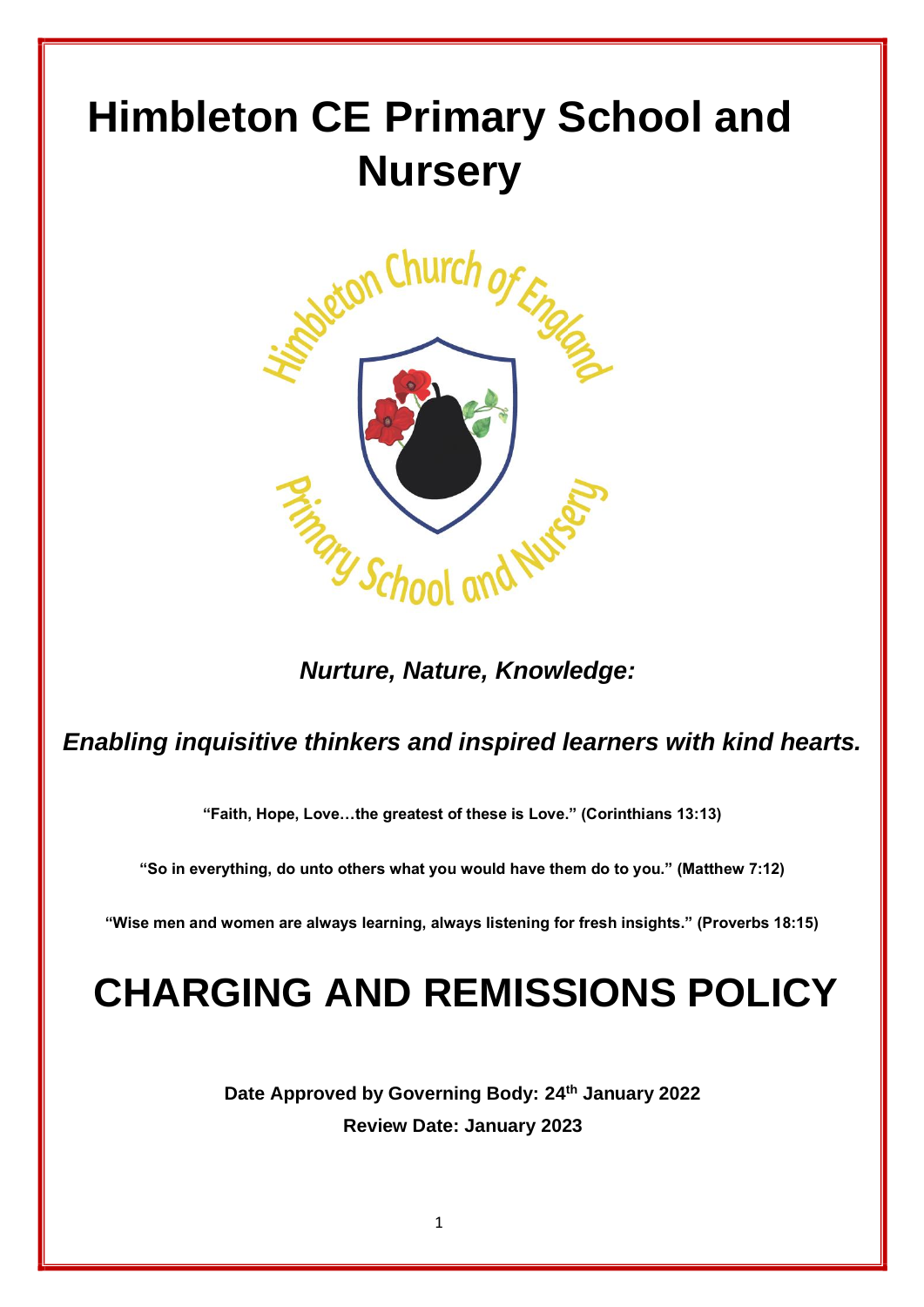# **Himbleton CE Primary School and Nursery**



 *Nurture, Nature, Knowledge:*

## *Enabling inquisitive thinkers and inspired learners with kind hearts.*

**"Faith, Hope, Love…the greatest of these is Love." (Corinthians 13:13)**

**"So in everything, do unto others what you would have them do to you." (Matthew 7:12)**

**"Wise men and women are always learning, always listening for fresh insights." (Proverbs 18:15)**

## **CHARGING AND REMISSIONS POLICY**

**Date Approved by Governing Body: 24th January 2022 Review Date: January 2023**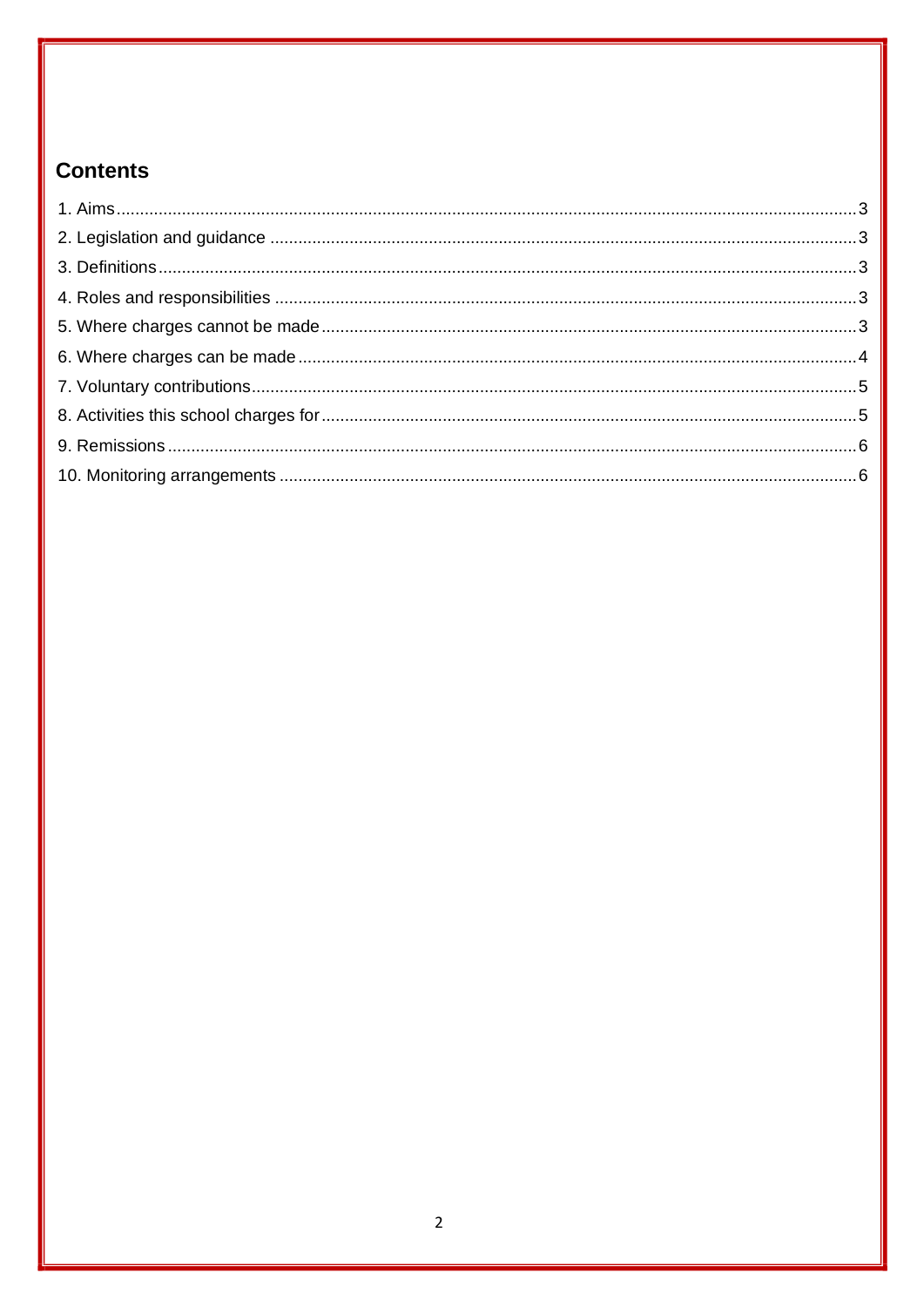## **Contents**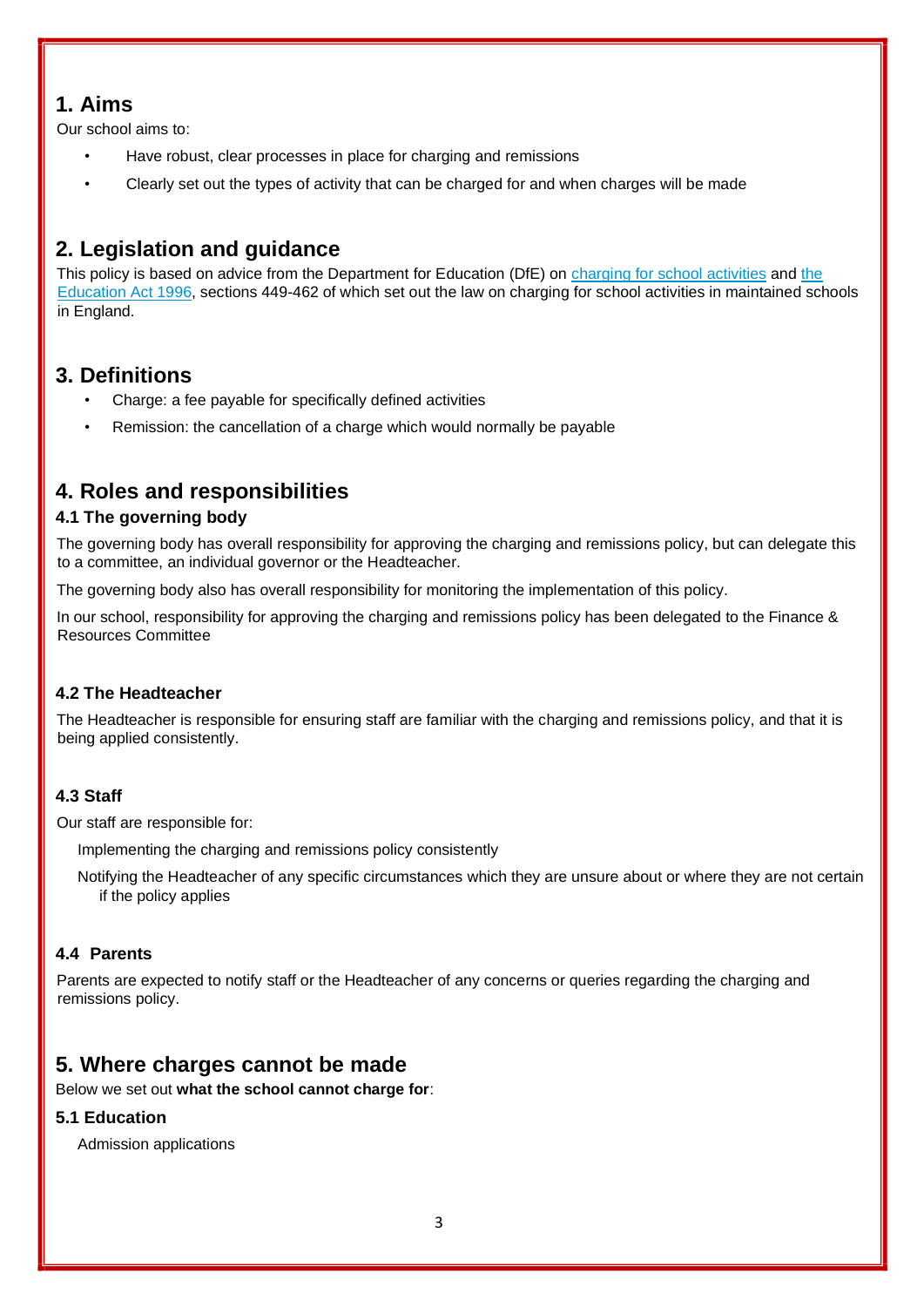## <span id="page-2-0"></span>**1. Aims**

Our school aims to:

- Have robust, clear processes in place for charging and remissions
- Clearly set out the types of activity that can be charged for and when charges will be made

## <span id="page-2-1"></span>**2. Legislation and guidance**

This policy is based on advice from the Department for Education (DfE) on charging for school activities and the Education Act 1996, sections 449-462 of which set out the law on charging for school activities in maintained schools in England.

## <span id="page-2-2"></span>**3. Definitions**

- Charge: a fee payable for specifically defined activities
- Remission: the cancellation of a charge which would normally be payable

## <span id="page-2-3"></span>**4. Roles and responsibilities**

#### **4.1 The governing body**

The governing body has overall responsibility for approving the charging and remissions policy, but can delegate this to a committee, an individual governor or the Headteacher.

The governing body also has overall responsibility for monitoring the implementation of this policy.

In our school, responsibility for approving the charging and remissions policy has been delegated to the Finance & Resources Committee

#### **4.2 The Headteacher**

The Headteacher is responsible for ensuring staff are familiar with the charging and remissions policy, and that it is being applied consistently.

#### **4.3 Staff**

Our staff are responsible for:

Implementing the charging and remissions policy consistently

Notifying the Headteacher of any specific circumstances which they are unsure about or where they are not certain if the policy applies

#### **4.4 Parents**

Parents are expected to notify staff or the Headteacher of any concerns or queries regarding the charging and remissions policy.

## <span id="page-2-4"></span>**5. Where charges cannot be made**

Below we set out **what the school cannot charge for**:

#### **5.1 Education**

Admission applications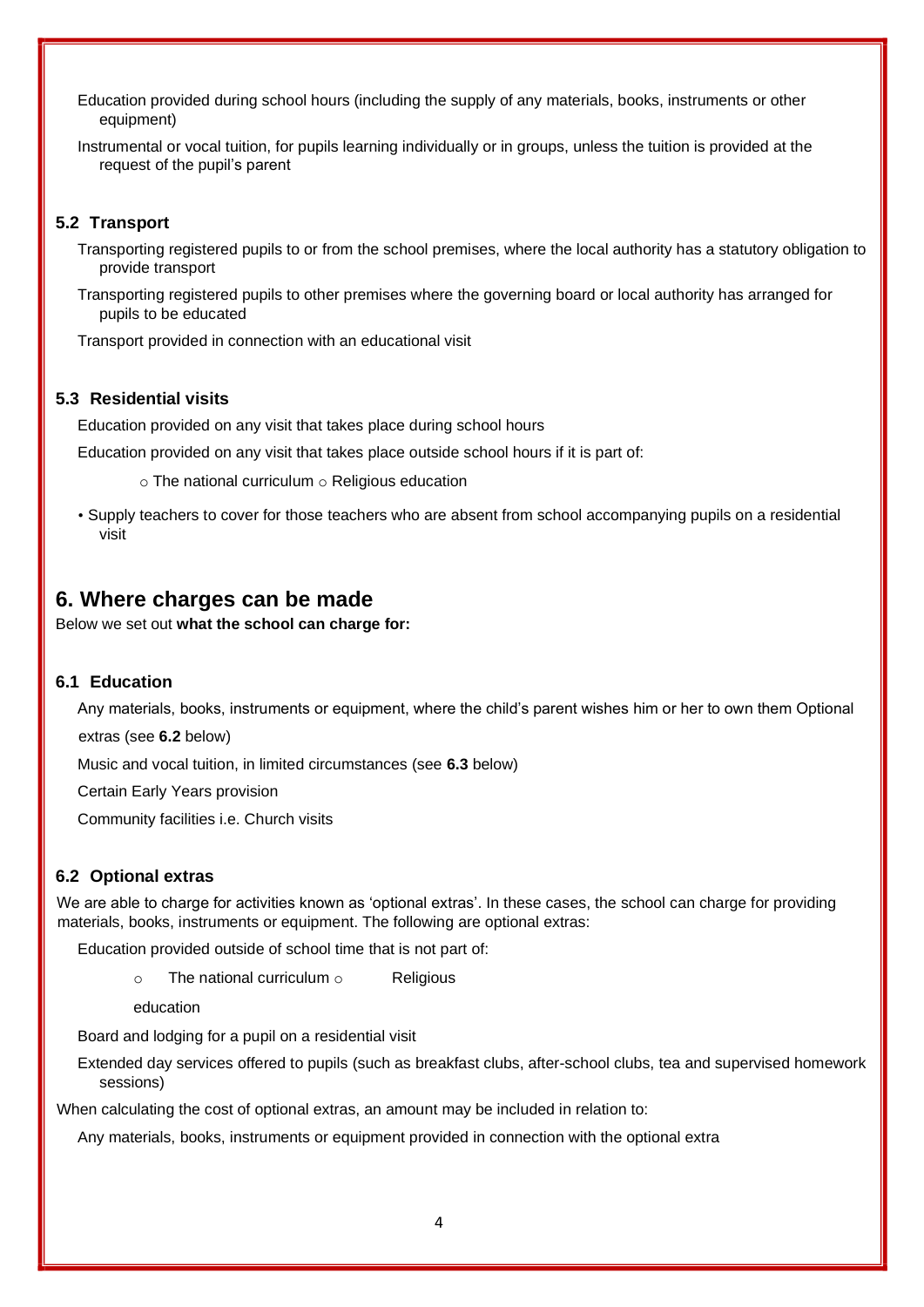Education provided during school hours (including the supply of any materials, books, instruments or other equipment)

Instrumental or vocal tuition, for pupils learning individually or in groups, unless the tuition is provided at the request of the pupil's parent

#### **5.2 Transport**

Transporting registered pupils to or from the school premises, where the local authority has a statutory obligation to provide transport

Transporting registered pupils to other premises where the governing board or local authority has arranged for pupils to be educated

Transport provided in connection with an educational visit

#### **5.3 Residential visits**

Education provided on any visit that takes place during school hours

Education provided on any visit that takes place outside school hours if it is part of:

 $\circ$  The national curriculum  $\circ$  Religious education

• Supply teachers to cover for those teachers who are absent from school accompanying pupils on a residential visit

#### <span id="page-3-0"></span>**6. Where charges can be made**

Below we set out **what the school can charge for:** 

#### **6.1 Education**

Any materials, books, instruments or equipment, where the child's parent wishes him or her to own them Optional extras (see **6.2** below)

Music and vocal tuition, in limited circumstances (see **6.3** below)

Certain Early Years provision

Community facilities i.e. Church visits

#### **6.2 Optional extras**

We are able to charge for activities known as 'optional extras'. In these cases, the school can charge for providing materials, books, instruments or equipment. The following are optional extras:

Education provided outside of school time that is not part of:

 $\circ$  The national curriculum  $\circ$  Religious

education

Board and lodging for a pupil on a residential visit

Extended day services offered to pupils (such as breakfast clubs, after-school clubs, tea and supervised homework sessions)

When calculating the cost of optional extras, an amount may be included in relation to:

Any materials, books, instruments or equipment provided in connection with the optional extra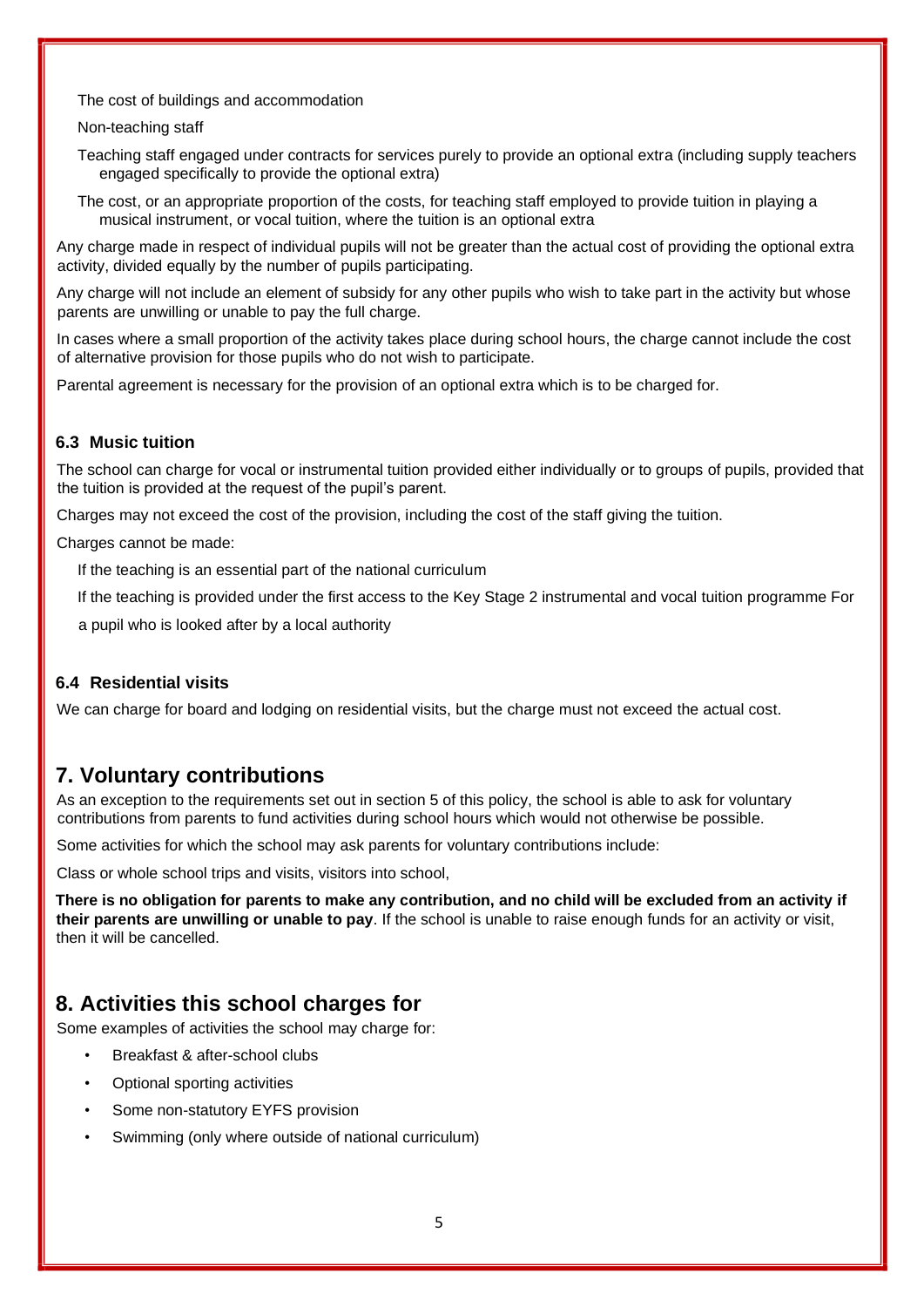The cost of buildings and accommodation

#### Non-teaching staff

Teaching staff engaged under contracts for services purely to provide an optional extra (including supply teachers engaged specifically to provide the optional extra)

The cost, or an appropriate proportion of the costs, for teaching staff employed to provide tuition in playing a musical instrument, or vocal tuition, where the tuition is an optional extra

Any charge made in respect of individual pupils will not be greater than the actual cost of providing the optional extra activity, divided equally by the number of pupils participating.

Any charge will not include an element of subsidy for any other pupils who wish to take part in the activity but whose parents are unwilling or unable to pay the full charge.

In cases where a small proportion of the activity takes place during school hours, the charge cannot include the cost of alternative provision for those pupils who do not wish to participate.

Parental agreement is necessary for the provision of an optional extra which is to be charged for.

#### **6.3 Music tuition**

The school can charge for vocal or instrumental tuition provided either individually or to groups of pupils, provided that the tuition is provided at the request of the pupil's parent.

Charges may not exceed the cost of the provision, including the cost of the staff giving the tuition.

Charges cannot be made:

If the teaching is an essential part of the national curriculum

If the teaching is provided under the first access to the Key Stage 2 instrumental and vocal tuition programme For

a pupil who is looked after by a local authority

#### **6.4 Residential visits**

We can charge for board and lodging on residential visits, but the charge must not exceed the actual cost.

## <span id="page-4-0"></span>**7. Voluntary contributions**

As an exception to the requirements set out in section 5 of this policy, the school is able to ask for voluntary contributions from parents to fund activities during school hours which would not otherwise be possible.

Some activities for which the school may ask parents for voluntary contributions include:

Class or whole school trips and visits, visitors into school,

**There is no obligation for parents to make any contribution, and no child will be excluded from an activity if their parents are unwilling or unable to pay**. If the school is unable to raise enough funds for an activity or visit, then it will be cancelled.

## <span id="page-4-1"></span>**8. Activities this school charges for**

Some examples of activities the school may charge for:

- Breakfast & after-school clubs
- Optional sporting activities
- Some non-statutory EYFS provision
- Swimming (only where outside of national curriculum)